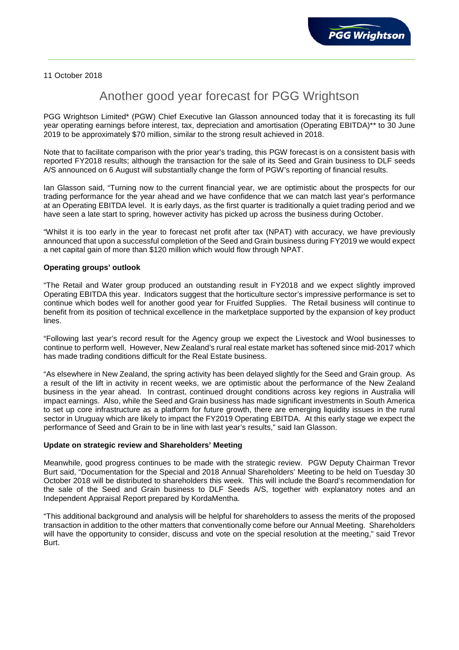11 October 2018

## Another good year forecast for PGG Wrightson

PGG Wrightson Limited\* (PGW) Chief Executive Ian Glasson announced today that it is forecasting its full year operating earnings before interest, tax, depreciation and amortisation (Operating EBITDA)\*\* to 30 June 2019 to be approximately \$70 million, similar to the strong result achieved in 2018.

Note that to facilitate comparison with the prior year's trading, this PGW forecast is on a consistent basis with reported FY2018 results; although the transaction for the sale of its Seed and Grain business to DLF seeds A/S announced on 6 August will substantially change the form of PGW's reporting of financial results.

Ian Glasson said, "Turning now to the current financial year, we are optimistic about the prospects for our trading performance for the year ahead and we have confidence that we can match last year's performance at an Operating EBITDA level. It is early days, as the first quarter is traditionally a quiet trading period and we have seen a late start to spring, however activity has picked up across the business during October.

"Whilst it is too early in the year to forecast net profit after tax (NPAT) with accuracy, we have previously announced that upon a successful completion of the Seed and Grain business during FY2019 we would expect a net capital gain of more than \$120 million which would flow through NPAT.

## **Operating groups' outlook**

"The Retail and Water group produced an outstanding result in FY2018 and we expect slightly improved Operating EBITDA this year. Indicators suggest that the horticulture sector's impressive performance is set to continue which bodes well for another good year for Fruitfed Supplies. The Retail business will continue to benefit from its position of technical excellence in the marketplace supported by the expansion of key product lines.

"Following last year's record result for the Agency group we expect the Livestock and Wool businesses to continue to perform well. However, New Zealand's rural real estate market has softened since mid-2017 which has made trading conditions difficult for the Real Estate business.

"As elsewhere in New Zealand, the spring activity has been delayed slightly for the Seed and Grain group. As a result of the lift in activity in recent weeks, we are optimistic about the performance of the New Zealand business in the year ahead. In contrast, continued drought conditions across key regions in Australia will impact earnings. Also, while the Seed and Grain business has made significant investments in South America to set up core infrastructure as a platform for future growth, there are emerging liquidity issues in the rural sector in Uruguay which are likely to impact the FY2019 Operating EBITDA. At this early stage we expect the performance of Seed and Grain to be in line with last year's results," said Ian Glasson.

## **Update on strategic review and Shareholders' Meeting**

Meanwhile, good progress continues to be made with the strategic review. PGW Deputy Chairman Trevor Burt said, "Documentation for the Special and 2018 Annual Shareholders' Meeting to be held on Tuesday 30 October 2018 will be distributed to shareholders this week. This will include the Board's recommendation for the sale of the Seed and Grain business to DLF Seeds A/S, together with explanatory notes and an Independent Appraisal Report prepared by KordaMentha.

"This additional background and analysis will be helpful for shareholders to assess the merits of the proposed transaction in addition to the other matters that conventionally come before our Annual Meeting. Shareholders will have the opportunity to consider, discuss and vote on the special resolution at the meeting," said Trevor Burt.